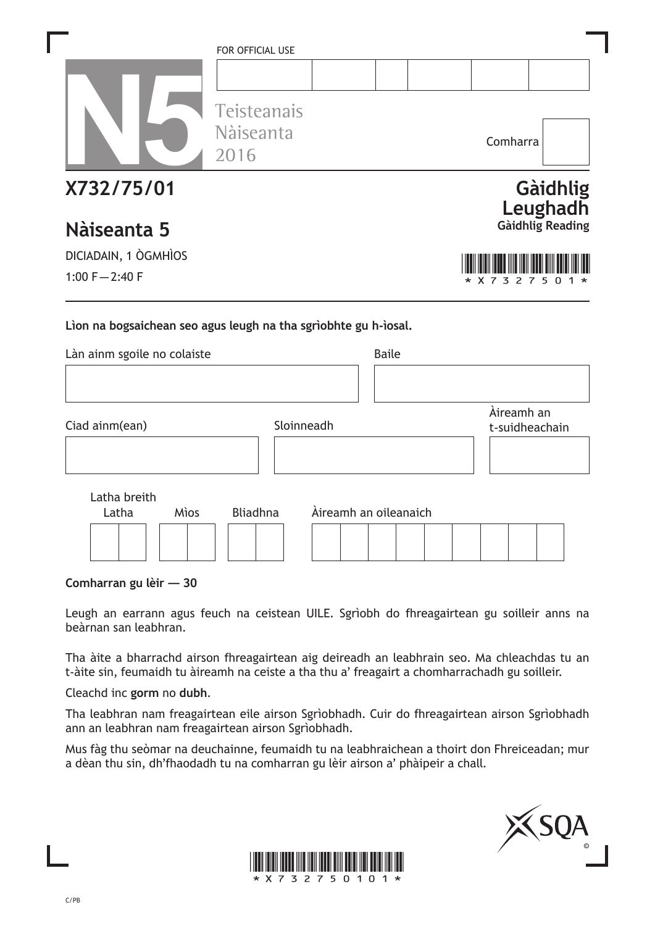|                                                                                                | FOR OFFICIAL USE<br>Teisteanais |                       |              |  |   | Comharra<br>Gàidhlig<br>Leughadh<br>Gàidhlig Reading<br>3<br>7<br>Àireamh an<br>t-suidheachain |  |  |
|------------------------------------------------------------------------------------------------|---------------------------------|-----------------------|--------------|--|---|------------------------------------------------------------------------------------------------|--|--|
|                                                                                                | Nàiseanta<br>2016               |                       |              |  |   |                                                                                                |  |  |
| X732/75/01<br>Nàiseanta 5                                                                      |                                 |                       |              |  |   |                                                                                                |  |  |
| DICIADAIN, 1 ÒGMHÌOS                                                                           |                                 |                       |              |  |   |                                                                                                |  |  |
| 1:00 $F - 2:40 F$                                                                              |                                 |                       |              |  | 7 |                                                                                                |  |  |
| Lion na bogsaichean seo agus leugh na tha sgrìobhte gu h-ìosal.<br>Làn ainm sgoile no colaiste |                                 |                       | <b>Baile</b> |  |   |                                                                                                |  |  |
| Ciad ainm(ean)                                                                                 |                                 | Sloinneadh            |              |  |   |                                                                                                |  |  |
| Latha breith<br>Latha<br><b>Mìos</b>                                                           | <b>Bliadhna</b>                 | Àireamh an oileanaich |              |  |   |                                                                                                |  |  |
|                                                                                                |                                 |                       |              |  |   |                                                                                                |  |  |

**Comharran gu lèir — 30**

Leugh an earrann agus feuch na ceistean UILE. Sgrìobh do fhreagairtean gu soilleir anns na beàrnan san leabhran.

Tha àite a bharrachd airson fhreagairtean aig deireadh an leabhrain seo. Ma chleachdas tu an t-àite sin, feumaidh tu àireamh na ceiste a tha thu a' freagairt a chomharrachadh gu soilleir.

Cleachd inc **gorm** no **dubh**.

Tha leabhran nam freagairtean eile airson Sgrìobhadh. Cuir do fhreagairtean airson Sgrìobhadh ann an leabhran nam freagairtean airson Sgrìobhadh.

Mus fàg thu seòmar na deuchainne, feumaidh tu na leabhraichean a thoirt don Fhreiceadan; mur a dèan thu sin, dh'fhaodadh tu na comharran gu lèir airson a' phàipeir a chall.



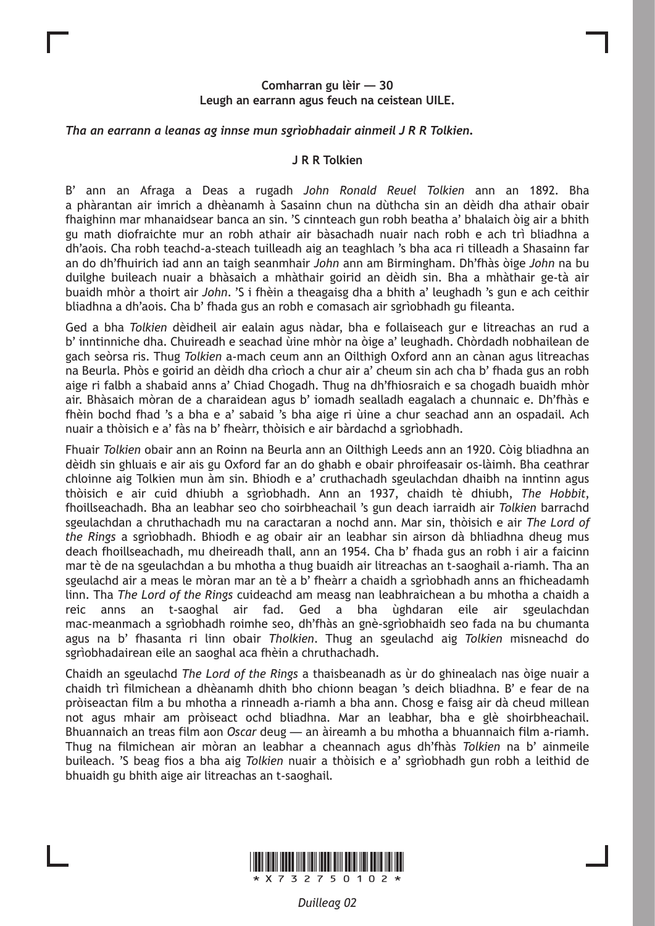## **Comharran gu lèir — 30 Leugh an earrann agus feuch na ceistean UILE.**

## *Tha an earrann a leanas ag innse mun sgrìobhadair ainmeil J R R Tolkien.*

### **J R R Tolkien**

B' ann an Afraga a Deas a rugadh *John Ronald Reuel Tolkien* ann an 1892. Bha a phàrantan air imrich a dhèanamh à Sasainn chun na dùthcha sin an dèidh dha athair obair fhaighinn mar mhanaidsear banca an sin. 'S cinnteach gun robh beatha a' bhalaich òig air a bhith gu math diofraichte mur an robh athair air bàsachadh nuair nach robh e ach trì bliadhna a dh'aois. Cha robh teachd-a-steach tuilleadh aig an teaghlach 's bha aca ri tilleadh a Shasainn far an do dh'fhuirich iad ann an taigh seanmhair *John* ann am Birmingham. Dh'fhàs òige *John* na bu duilghe buileach nuair a bhàsaich a mhàthair goirid an dèidh sin. Bha a mhàthair ge-tà air buaidh mhòr a thoirt air *John*. 'S i fhèin a theagaisg dha a bhith a' leughadh 's gun e ach ceithir bliadhna a dh'aois. Cha b' fhada gus an robh e comasach air sgrìobhadh gu fileanta.

Ged a bha *Tolkien* dèidheil air ealain agus nàdar, bha e follaiseach gur e litreachas an rud a b' inntinniche dha. Chuireadh e seachad ùine mhòr na òige a' leughadh. Chòrdadh nobhailean de gach seòrsa ris. Thug *Tolkien* a-mach ceum ann an Oilthigh Oxford ann an cànan agus litreachas na Beurla. Phòs e goirid an dèidh dha crìoch a chur air a' cheum sin ach cha b' fhada gus an robh aige ri falbh a shabaid anns a' Chiad Chogadh. Thug na dh'fhiosraich e sa chogadh buaidh mhòr air. Bhàsaich mòran de a charaidean agus b' iomadh sealladh eagalach a chunnaic e. Dh'fhàs e fhèin bochd fhad 's a bha e a' sabaid 's bha aige ri ùine a chur seachad ann an ospadail. Ach nuair a thòisich e a' fàs na b' fheàrr, thòisich e air bàrdachd a sgrìobhadh.

Fhuair *Tolkien* obair ann an Roinn na Beurla ann an Oilthigh Leeds ann an 1920. Còig bliadhna an dèidh sin ghluais e air ais gu Oxford far an do ghabh e obair phroifeasair os-làimh. Bha ceathrar chloinne aig Tolkien mun àm sin. Bhiodh e a' cruthachadh sgeulachdan dhaibh na inntinn agus thòisich e air cuid dhiubh a sgrìobhadh. Ann an 1937, chaidh tè dhiubh, *The Hobbit*, fhoillseachadh. Bha an leabhar seo cho soirbheachail 's gun deach iarraidh air *Tolkien* barrachd sgeulachdan a chruthachadh mu na caractaran a nochd ann. Mar sin, thòisich e air *The Lord of the Rings* a sgrìobhadh. Bhiodh e ag obair air an leabhar sin airson dà bhliadhna dheug mus deach fhoillseachadh, mu dheireadh thall, ann an 1954. Cha b' fhada gus an robh i air a faicinn mar tè de na sgeulachdan a bu mhotha a thug buaidh air litreachas an t-saoghail a-riamh. Tha an sgeulachd air a meas le mòran mar an tè a b' fheàrr a chaidh a sgrìobhadh anns an fhicheadamh linn. Tha *The Lord of the Rings* cuideachd am measg nan leabhraichean a bu mhotha a chaidh a reic anns an t-saoghal air fad. Ged a bha ùghdaran eile air sgeulachdan mac-meanmach a sgrìobhadh roimhe seo, dh'fhàs an gnè-sgrìobhaidh seo fada na bu chumanta agus na b' fhasanta ri linn obair *Tholkien*. Thug an sgeulachd aig *Tolkien* misneachd do sgrìobhadairean eile an saoghal aca fhèin a chruthachadh.

Chaidh an sgeulachd *The Lord of the Rings* a thaisbeanadh as ùr do ghinealach nas òige nuair a chaidh trì filmichean a dhèanamh dhith bho chionn beagan 's deich bliadhna. B' e fear de na pròiseactan film a bu mhotha a rinneadh a-riamh a bha ann. Chosg e faisg air dà cheud millean not agus mhair am pròiseact ochd bliadhna. Mar an leabhar, bha e glè shoirbheachail. Bhuannaich an treas film aon *Oscar* deug — an àireamh a bu mhotha a bhuannaich film a-riamh. Thug na filmichean air mòran an leabhar a cheannach agus dh'fhàs *Tolkien* na b' ainmeile buileach. 'S beag fios a bha aig *Tolkien* nuair a thòisich e a' sgrìobhadh gun robh a leithid de bhuaidh gu bhith aige air litreachas an t-saoghail.

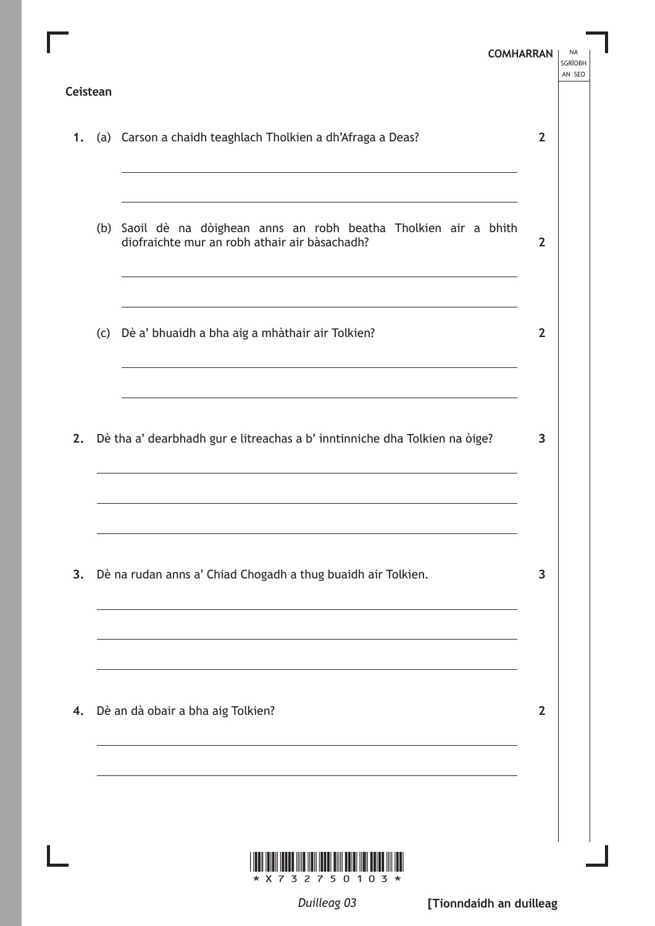| Ceistean |                                                                                                                                                                                                                                                                       | <b>COMHARRAN</b> | NA<br><b>SGRÌOBH</b><br>AN SEO |
|----------|-----------------------------------------------------------------------------------------------------------------------------------------------------------------------------------------------------------------------------------------------------------------------|------------------|--------------------------------|
|          | 1. (a) Carson a chaidh teaghlach Tholkien a dh'Afraga a Deas?                                                                                                                                                                                                         | $\overline{2}$   |                                |
|          | (b) Saoil dè na dòighean anns an robh beatha Tholkien air a bhith<br>diofraichte mur an robh athair air bàsachadh?                                                                                                                                                    | $\overline{2}$   |                                |
|          | <u> 1989 - Johann Barn, fransk politik (d. 1989)</u><br>(c) Dè a' bhuaidh a bha aig a mhàthair air Tolkien?                                                                                                                                                           | $\overline{2}$   |                                |
|          | 2. Dè tha a' dearbhadh gur e litreachas a b' inntinniche dha Tolkien na òige?                                                                                                                                                                                         | 3                |                                |
|          | 3. Dè na rudan anns a' Chiad Chogadh a thug buaidh air Tolkien.                                                                                                                                                                                                       | $\overline{3}$   |                                |
|          | the control of the control of the control of the control of the control of the control of the control of the control of the control of the control of the control of the control of the control of the control of the control<br>4. Dè an dà obair a bha aig Tolkien? | $\overline{2}$   |                                |
|          |                                                                                                                                                                                                                                                                       |                  |                                |

*Duilleag 03*

**[Tionndaidh an duilleag**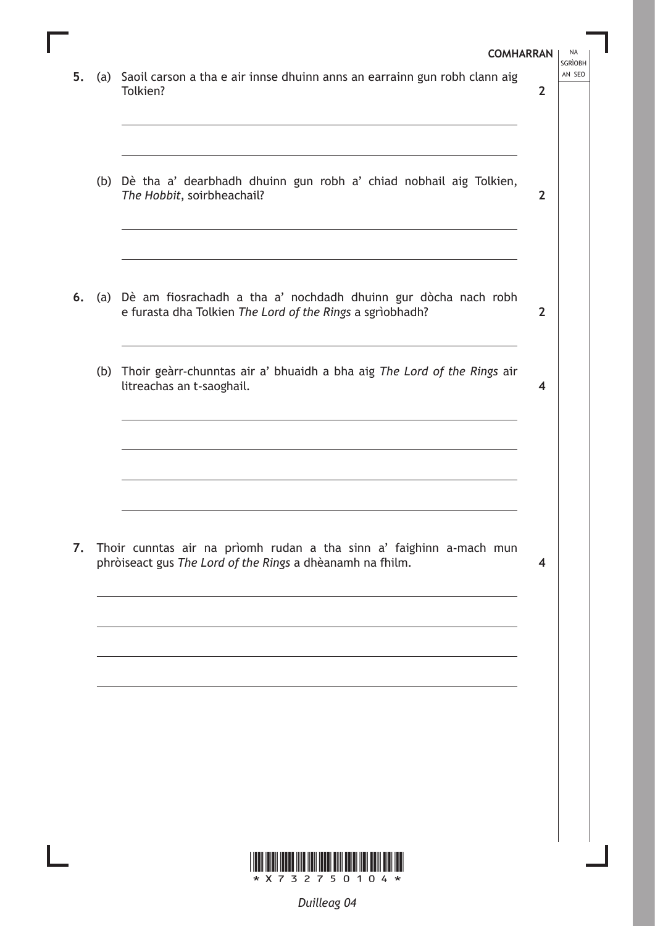\*X732750104\* **COMHARRAN** | NA **SGRÌOBH** 5. (a) Saoil carson a tha e air innse dhuinn anns an earrainn gun robh clann aig Tolkien? (b) Dè tha a' dearbhadh dhuinn gun robh a' chiad nobhail aig Tolkien, *The Hobbit*, soirbheachail? **6.** (a) Dè am fiosrachadh a tha a' nochdadh dhuinn gur dòcha nach robh e furasta dha Tolkien *The Lord of the Rings* a sgrìobhadh? (b) Thoir geàrr-chunntas air a' bhuaidh a bha aig *The Lord of the Rings* air litreachas an t-saoghail. **7.** Thoir cunntas air na prìomh rudan a tha sinn a' faighinn a-mach mun phròiseact gus *The Lord of the Rings* a dhèanamh na fhilm. **2 2 2 4 4**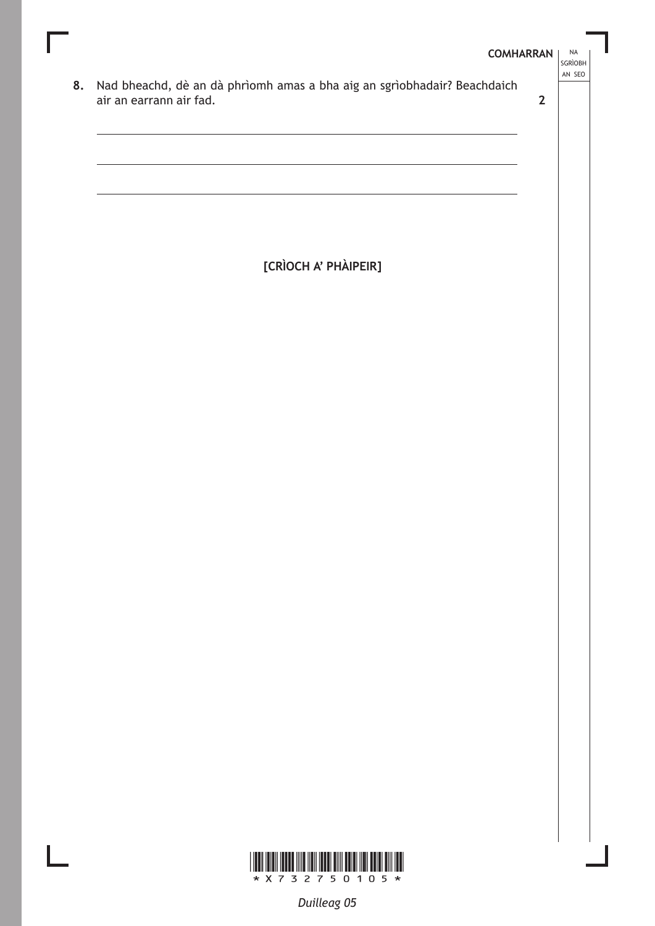### **COMHARRAN**

 $\mathbf{2}$ 

- **NA** SGRÌOBH AN SEO
- 8. Nad bheachd, dè an dà phrìomh amas a bha aig an sgrìobhadair? Beachdaich air an earrann air fad.

[CRÌOCH A' PHÀIPEIR]

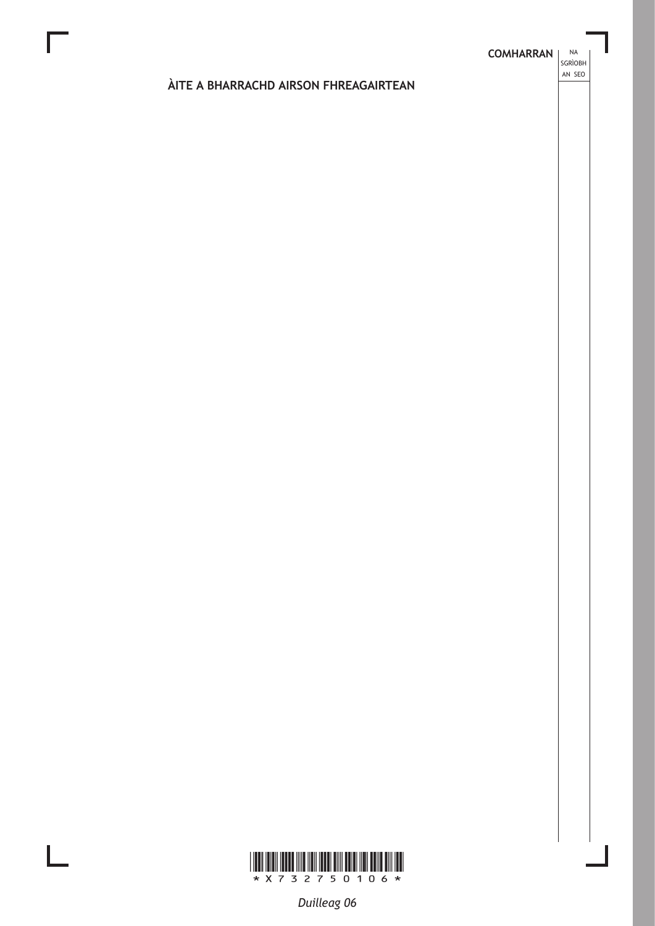**NA** 

# ÀITE A BHARRACHD AIRSON FHREAGAIRTEAN



L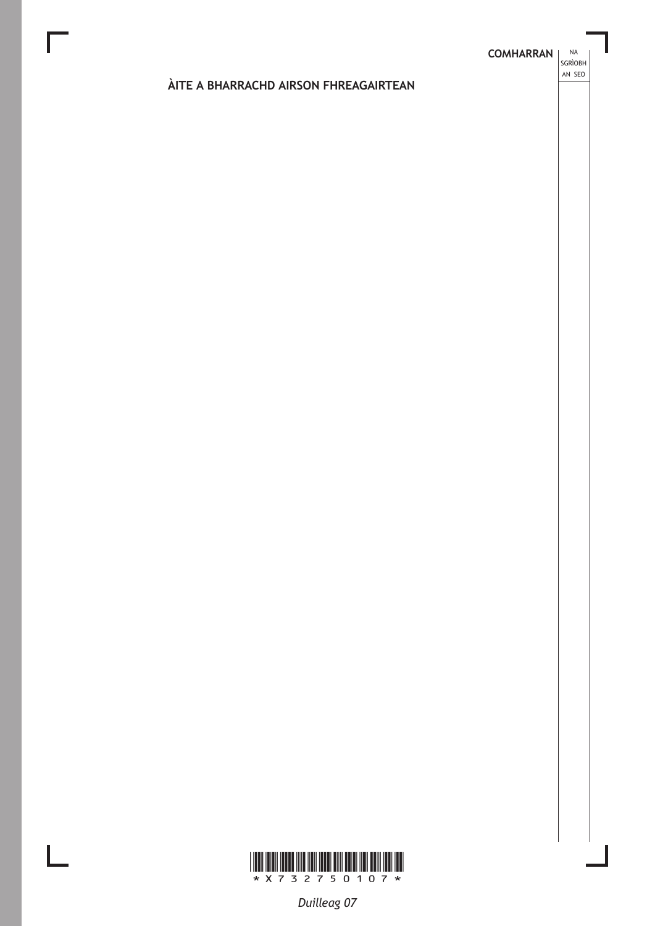**NA** 

# ÀITE A BHARRACHD AIRSON FHREAGAIRTEAN



 $\mathbf{L}$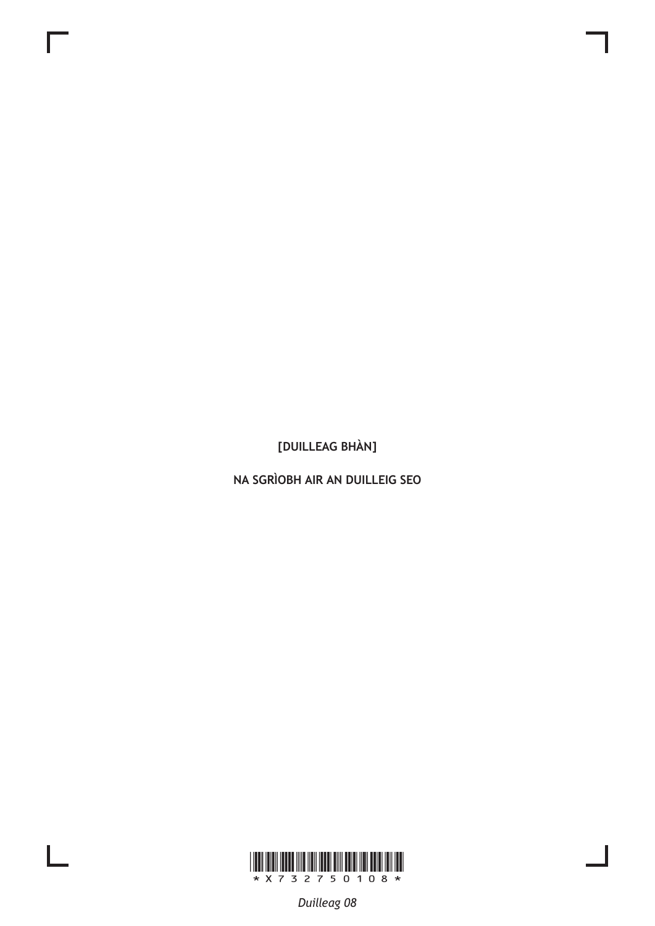NA SGRÌOBH AIR AN DUILLEIG SEO



 $\mathbf{L}$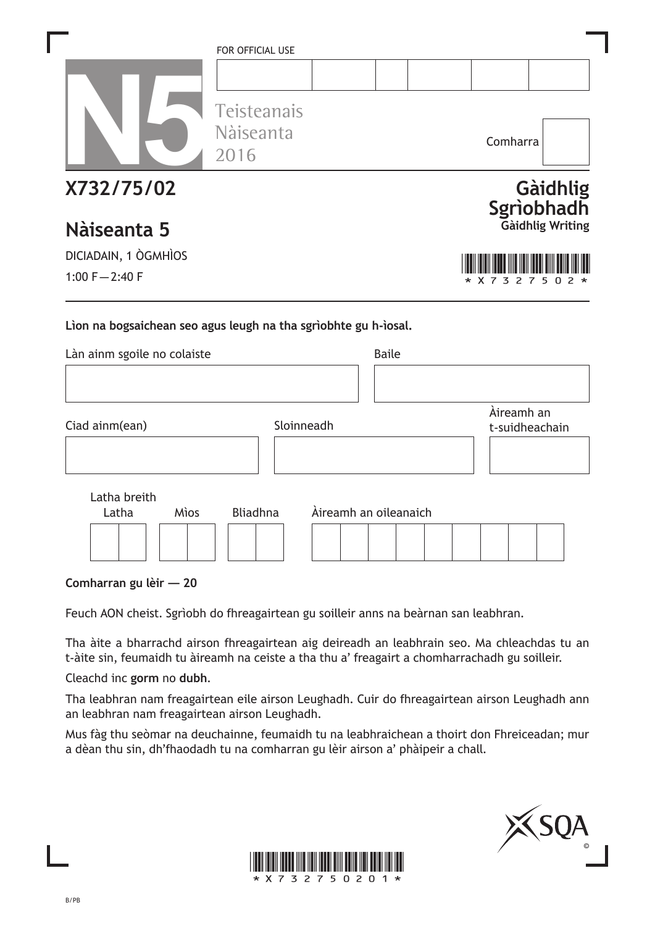|                                                                                                | FOR OFFICIAL USE<br>Teisteanais<br>Nàiseanta<br>2016 |                       |              | Comharra                     |                        |
|------------------------------------------------------------------------------------------------|------------------------------------------------------|-----------------------|--------------|------------------------------|------------------------|
| X732/75/02<br>Nàiseanta 5                                                                      |                                                      |                       |              |                              | Gàidhlig<br>Sgrìobhadh |
| DICIADAIN, 1 ÒGMHÌOS                                                                           |                                                      |                       |              |                              |                        |
| 1:00 $F - 2:40 F$                                                                              |                                                      |                       |              | 3<br>2<br>7                  | 5                      |
| Lion na bogsaichean seo agus leugh na tha sgrìobhte gu h-ìosal.<br>Làn ainm sgoile no colaiste |                                                      |                       | <b>Baile</b> |                              |                        |
| Ciad ainm(ean)                                                                                 |                                                      | Sloinneadh            |              | Àireamh an<br>t-suidheachain |                        |
| Latha breith<br>Latha<br>Mìos                                                                  | <b>Bliadhna</b>                                      | Àireamh an oileanaich |              |                              |                        |

**Comharran gu lèir — 20**

Feuch AON cheist. Sgrìobh do fhreagairtean gu soilleir anns na beàrnan san leabhran.

Tha àite a bharrachd airson fhreagairtean aig deireadh an leabhrain seo. Ma chleachdas tu an t-àite sin, feumaidh tu àireamh na ceiste a tha thu a' freagairt a chomharrachadh gu soilleir.

Cleachd inc **gorm** no **dubh**.

Tha leabhran nam freagairtean eile airson Leughadh. Cuir do fhreagairtean airson Leughadh ann an leabhran nam freagairtean airson Leughadh.

Mus fàg thu seòmar na deuchainne, feumaidh tu na leabhraichean a thoirt don Fhreiceadan; mur a dèan thu sin, dh'fhaodadh tu na comharran gu lèir airson a' phàipeir a chall.



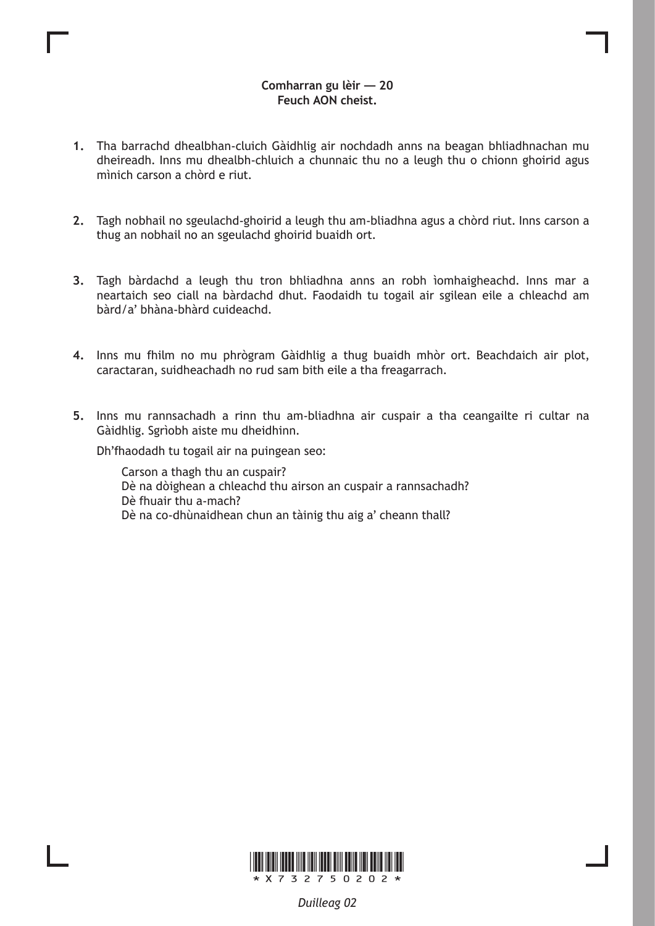# **Comharran gu lèir — 20 Feuch AON cheist.**

- **1.** Tha barrachd dhealbhan-cluich Gàidhlig air nochdadh anns na beagan bhliadhnachan mu dheireadh. Inns mu dhealbh-chluich a chunnaic thu no a leugh thu o chionn ghoirid agus mìnich carson a chòrd e riut.
- **2.** Tagh nobhail no sgeulachd-ghoirid a leugh thu am-bliadhna agus a chòrd riut. Inns carson a thug an nobhail no an sgeulachd ghoirid buaidh ort.
- **3.** Tagh bàrdachd a leugh thu tron bhliadhna anns an robh ìomhaigheachd. Inns mar a neartaich seo ciall na bàrdachd dhut. Faodaidh tu togail air sgilean eile a chleachd am bàrd/a' bhàna-bhàrd cuideachd.
- **4.** Inns mu fhilm no mu phrògram Gàidhlig a thug buaidh mhòr ort. Beachdaich air plot, caractaran, suidheachadh no rud sam bith eile a tha freagarrach.
- **5.** Inns mu rannsachadh a rinn thu am-bliadhna air cuspair a tha ceangailte ri cultar na Gàidhlig. Sgrìobh aiste mu dheidhinn.

Dh'fhaodadh tu togail air na puingean seo:

Carson a thagh thu an cuspair? Dè na dòighean a chleachd thu airson an cuspair a rannsachadh? Dè fhuair thu a-mach? Dè na co-dhùnaidhean chun an tàinig thu aig a' cheann thall?

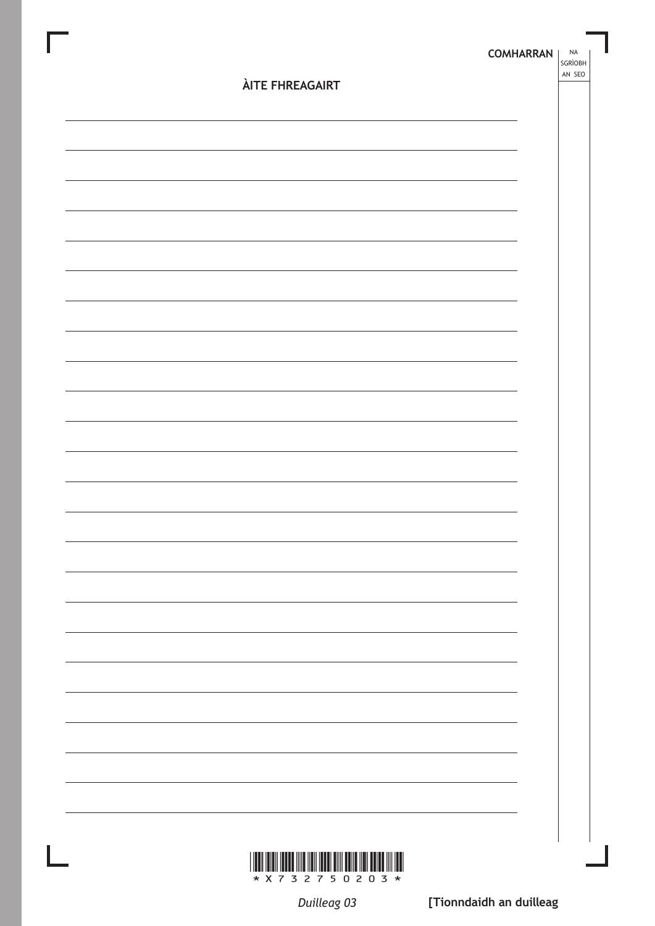|                        | <b>COMHARRAN</b> | NA<br>SGRÌOBH<br>AN SEO |
|------------------------|------------------|-------------------------|
| <b>ÀITE FHREAGAIRT</b> |                  |                         |
|                        |                  |                         |
|                        |                  |                         |
|                        |                  |                         |
|                        |                  |                         |
|                        |                  |                         |
|                        |                  |                         |
|                        |                  |                         |
|                        |                  |                         |
|                        |                  |                         |
|                        |                  |                         |
|                        |                  |                         |
|                        |                  |                         |
|                        |                  |                         |
|                        |                  |                         |
|                        |                  |                         |
|                        |                  |                         |
|                        |                  |                         |
|                        |                  |                         |
|                        |                  |                         |
|                        |                  |                         |
|                        |                  |                         |
|                        |                  |                         |
|                        |                  |                         |

Duilleag 03

\* X 7 3 2 7 5 0 2 0 3 \*

[Tionndaidh an duilleag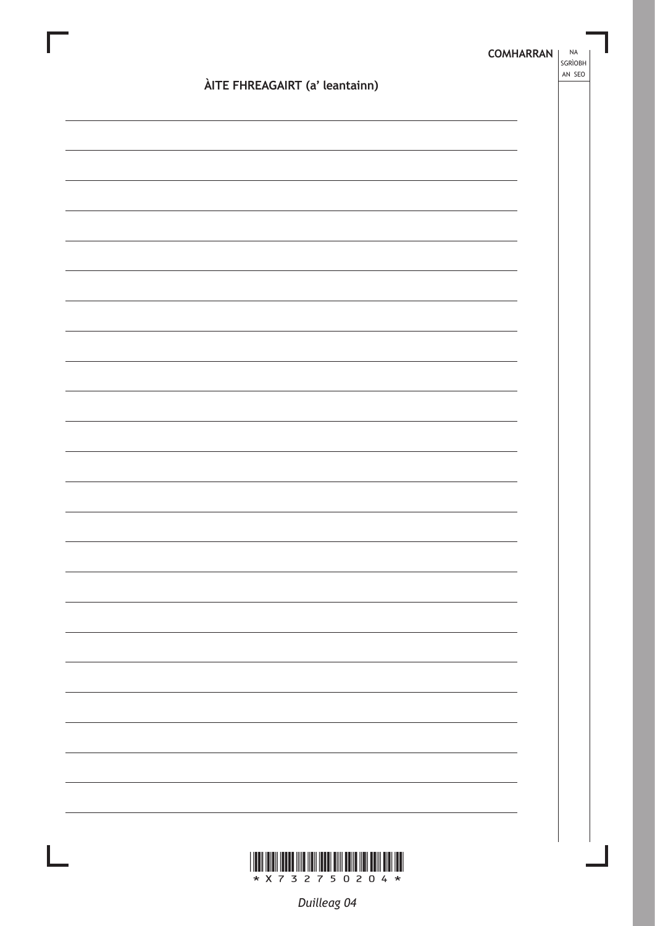|                                | SGRÌOBH<br>AN SEO |
|--------------------------------|-------------------|
| ÀITE FHREAGAIRT (a' leantainn) |                   |
|                                |                   |
|                                |                   |
|                                |                   |
|                                |                   |
|                                |                   |
|                                |                   |
|                                |                   |
|                                |                   |
|                                |                   |
|                                |                   |
|                                |                   |
|                                |                   |
|                                |                   |
|                                |                   |
|                                |                   |
|                                |                   |
|                                |                   |
|                                |                   |
|                                |                   |
|                                |                   |
|                                |                   |
|                                |                   |
|                                |                   |
|                                |                   |
|                                |                   |
|                                |                   |
|                                |                   |

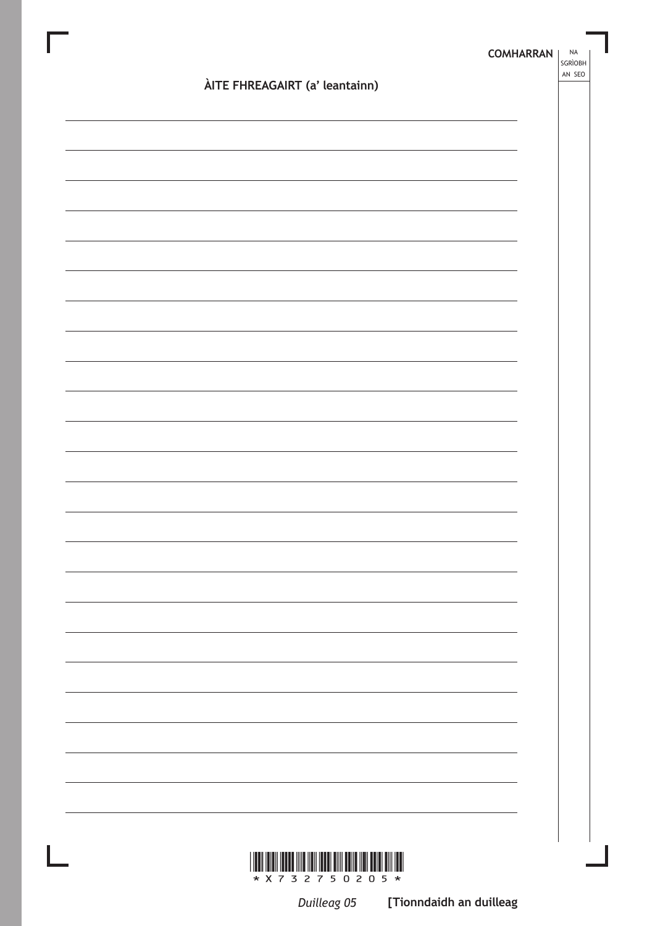|                                | <b>COMHARRAN</b> | NA<br>SGRÌOBH<br>AN SEO |
|--------------------------------|------------------|-------------------------|
| ÀITE FHREAGAIRT (a' leantainn) |                  |                         |
|                                |                  |                         |
|                                |                  |                         |
|                                |                  |                         |
|                                |                  |                         |
|                                |                  |                         |
|                                |                  |                         |
|                                |                  |                         |
|                                |                  |                         |
|                                |                  |                         |
|                                |                  |                         |
|                                |                  |                         |
|                                |                  |                         |
|                                |                  |                         |
|                                |                  |                         |
|                                |                  |                         |
|                                |                  |                         |
|                                |                  |                         |
|                                |                  |                         |
|                                |                  |                         |
|                                |                  |                         |
|                                |                  |                         |
|                                |                  |                         |
|                                |                  |                         |
|                                |                  |                         |

 $* X 7 3 2 7 5 0 2 0 5 *$ 

Duilleag 05 [Tionndaidh an duilleag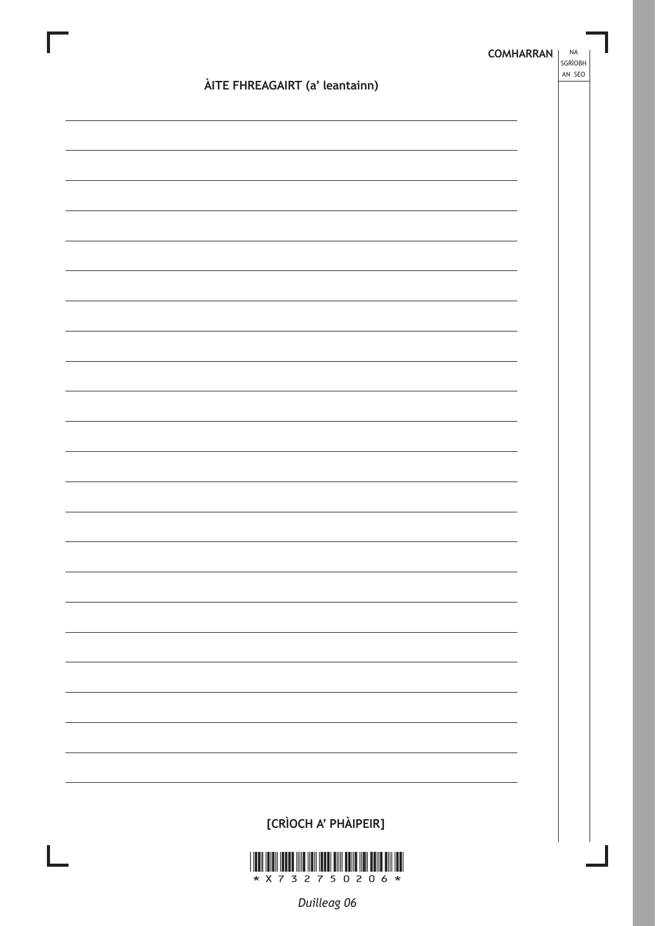| ÀITE FHREAGAIRT (a' leantainn) | <b>COMHARRAN</b> | <b>NA</b><br>SGRÌOBH<br>AN SEO |
|--------------------------------|------------------|--------------------------------|
|                                |                  |                                |
|                                |                  |                                |
|                                |                  |                                |
|                                |                  |                                |
|                                |                  |                                |
|                                |                  |                                |
|                                |                  |                                |
|                                |                  |                                |
|                                |                  |                                |
|                                |                  |                                |
|                                |                  |                                |
|                                |                  |                                |
|                                |                  |                                |
|                                |                  |                                |
|                                |                  |                                |
|                                |                  |                                |
|                                |                  |                                |
|                                |                  |                                |
|                                |                  |                                |
|                                |                  |                                |
|                                |                  |                                |
|                                |                  |                                |
|                                |                  |                                |
|                                |                  |                                |
|                                |                  |                                |
|                                |                  |                                |
|                                |                  |                                |
| [CRÌOCH A' PHÀIPEIR]           |                  |                                |

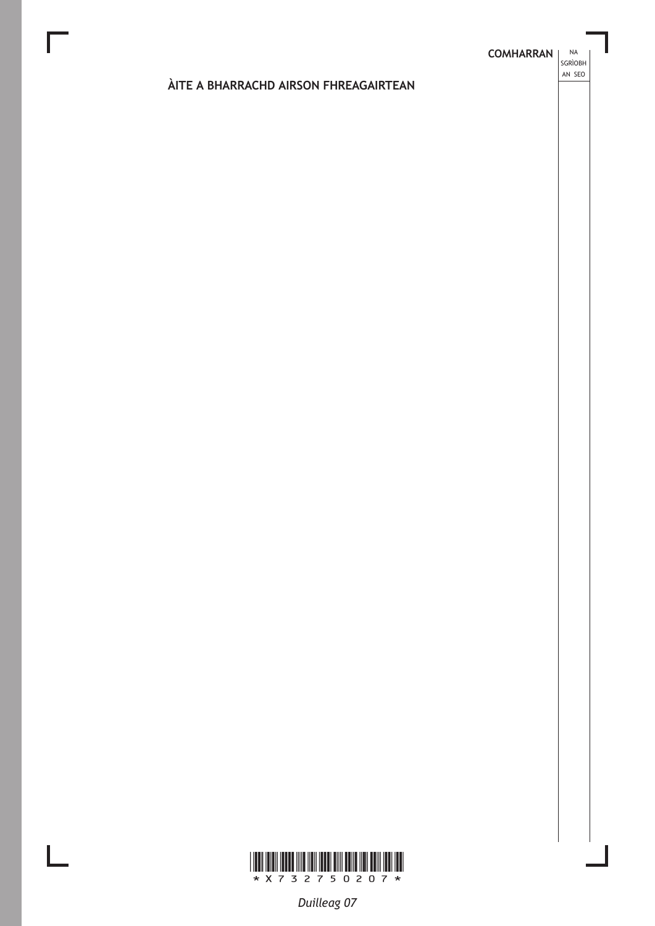**NA** 

# ÀITE A BHARRACHD AIRSON FHREAGAIRTEAN



 $\mathbf{L}$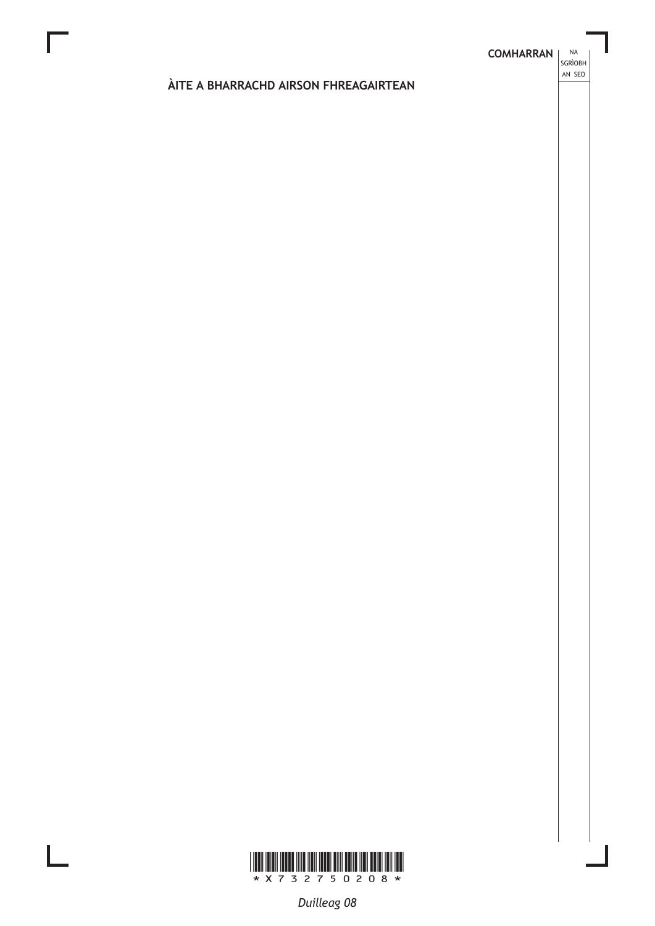**NA** 

# ÀITE A BHARRACHD AIRSON FHREAGAIRTEAN



L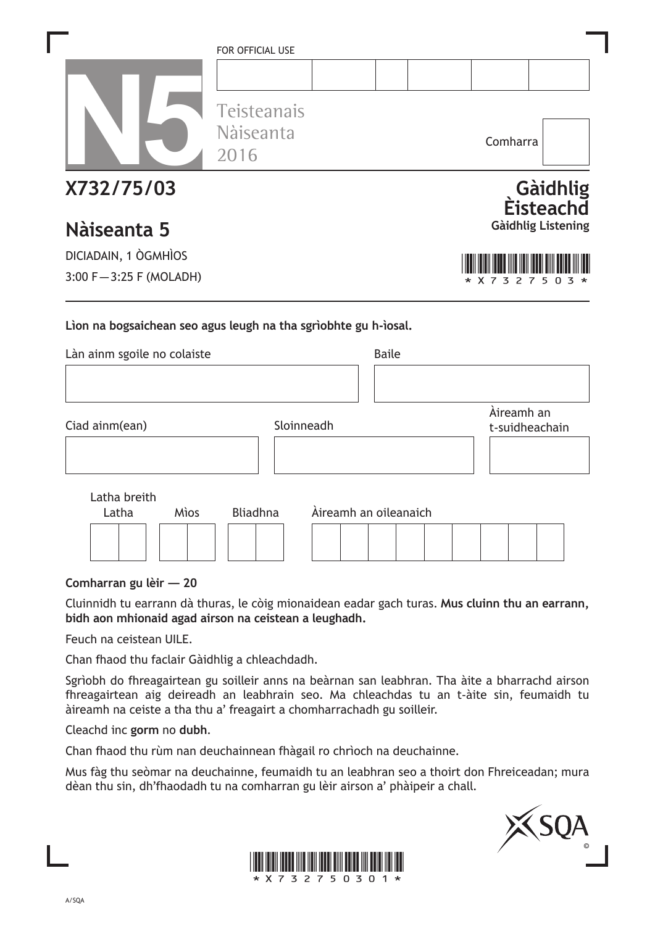|                                                                                                | FOR OFFICIAL USE<br>Teisteanais |            | Comharra<br>Gàidhlig<br><b>Eisteachd</b><br><b>Gàidhlig Listening</b><br><b>Baile</b><br>Àireamh an<br>t-suidheachain<br>Àireamh an oileanaich |  |  |  |  |
|------------------------------------------------------------------------------------------------|---------------------------------|------------|------------------------------------------------------------------------------------------------------------------------------------------------|--|--|--|--|
|                                                                                                | Nàiseanta<br>2016               |            |                                                                                                                                                |  |  |  |  |
| X732/75/03                                                                                     |                                 |            |                                                                                                                                                |  |  |  |  |
| Nàiseanta 5                                                                                    |                                 |            |                                                                                                                                                |  |  |  |  |
| DICIADAIN, 1 ÒGMHÌOS                                                                           |                                 |            |                                                                                                                                                |  |  |  |  |
| $3:00 F - 3:25 F (MOLADH)$                                                                     |                                 |            |                                                                                                                                                |  |  |  |  |
| Lion na bogsaichean seo agus leugh na tha sgrìobhte gu h-ìosal.<br>Làn ainm sgoile no colaiste |                                 |            |                                                                                                                                                |  |  |  |  |
|                                                                                                |                                 |            |                                                                                                                                                |  |  |  |  |
| Ciad ainm(ean)                                                                                 |                                 | Sloinneadh |                                                                                                                                                |  |  |  |  |
|                                                                                                |                                 |            |                                                                                                                                                |  |  |  |  |
| Latha breith                                                                                   | <b>Bliadhna</b>                 |            |                                                                                                                                                |  |  |  |  |
| Latha<br>Mìos                                                                                  |                                 |            |                                                                                                                                                |  |  |  |  |
|                                                                                                |                                 |            |                                                                                                                                                |  |  |  |  |

**Comharran gu lèir — 20**

Cluinnidh tu earrann dà thuras, le còig mionaidean eadar gach turas. **Mus cluinn thu an earrann, bidh aon mhionaid agad airson na ceistean a leughadh.**

Feuch na ceistean UILE.

Chan fhaod thu faclair Gàidhlig a chleachdadh.

Sgrìobh do fhreagairtean gu soilleir anns na beàrnan san leabhran. Tha àite a bharrachd airson fhreagairtean aig deireadh an leabhrain seo. Ma chleachdas tu an t-àite sin, feumaidh tu àireamh na ceiste a tha thu a' freagairt a chomharrachadh gu soilleir.

Cleachd inc **gorm** no **dubh**.

Chan fhaod thu rùm nan deuchainnean fhàgail ro chrìoch na deuchainne.

Mus fàg thu seòmar na deuchainne, feumaidh tu an leabhran seo a thoirt don Fhreiceadan; mura dèan thu sin, dh'fhaodadh tu na comharran gu lèir airson a' phàipeir a chall.



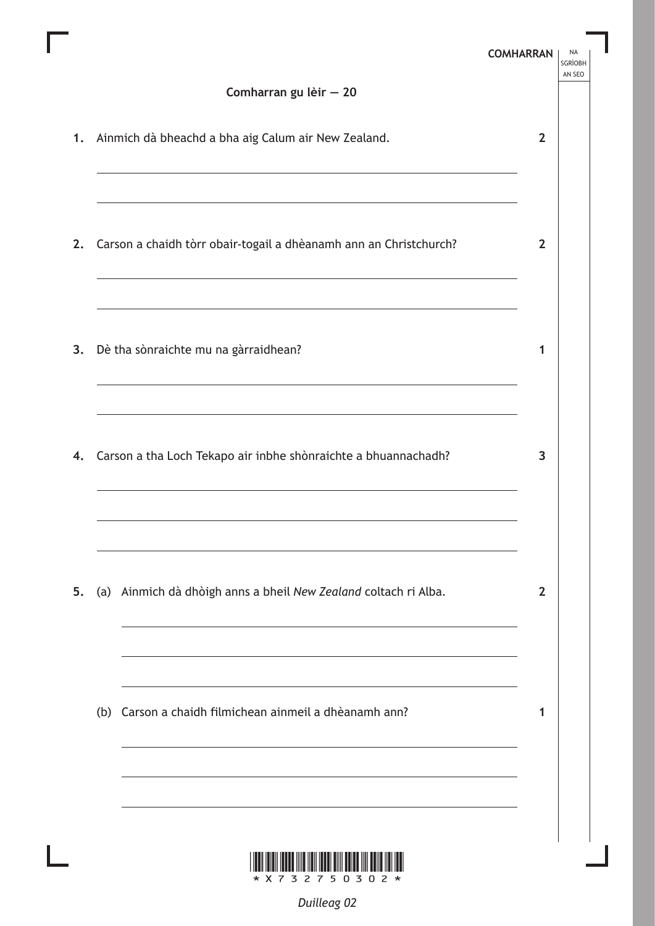|    | Comharran gu lèir - 20                                                                                                                                                                                                                                                |                |  |
|----|-----------------------------------------------------------------------------------------------------------------------------------------------------------------------------------------------------------------------------------------------------------------------|----------------|--|
| 1. | Ainmich dà bheachd a bha aig Calum air New Zealand.                                                                                                                                                                                                                   | $\overline{2}$ |  |
| 2. | Carson a chaidh tòrr obair-togail a dhèanamh ann an Christchurch?                                                                                                                                                                                                     | $\overline{2}$ |  |
| 3. | Dè tha sònraichte mu na gàrraidhean?<br>the control of the control of the control of the control of the control of the control of the control of the control of the control of the control of the control of the control of the control of the control of the control | 1              |  |
| 4. | Carson a tha Loch Tekapo air inbhe shònraichte a bhuannachadh?                                                                                                                                                                                                        | 3              |  |
| 5. | (a) Ainmich dà dhòigh anns a bheil New Zealand coltach ri Alba.                                                                                                                                                                                                       | $\overline{2}$ |  |
|    | (b) Carson a chaidh filmichean ainmeil a dhèanamh ann?                                                                                                                                                                                                                | 1              |  |
|    |                                                                                                                                                                                                                                                                       |                |  |

Γ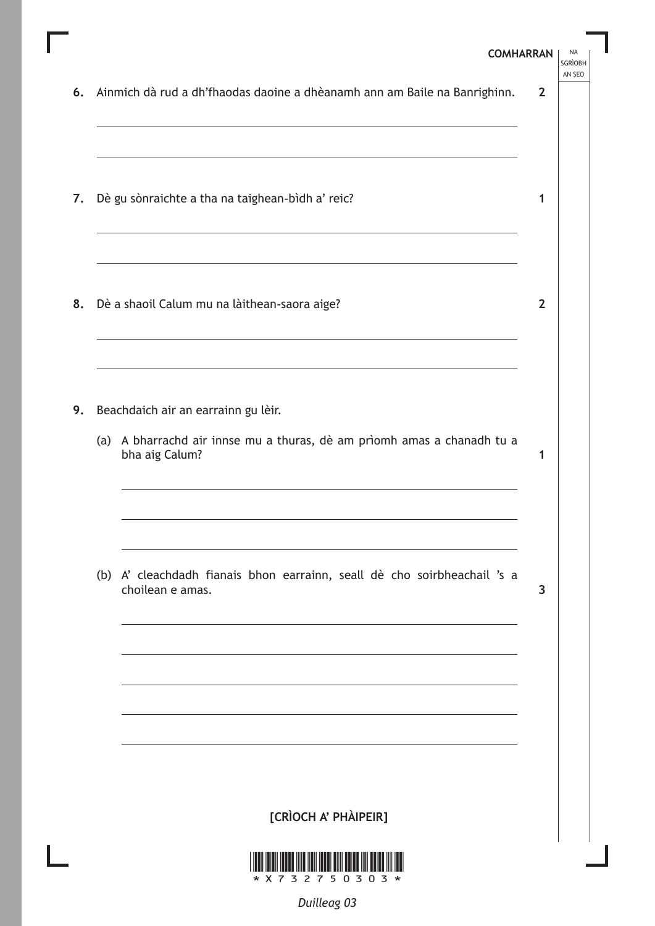|    | <b>COMHARRAN</b>                                                                                                                 |                | <b>NA</b><br><b>SGRÌOBH</b> |
|----|----------------------------------------------------------------------------------------------------------------------------------|----------------|-----------------------------|
| 6. | Ainmich dà rud a dh'fhaodas daoine a dhèanamh ann am Baile na Banrighinn.                                                        | $\mathbf{2}$   | AN SEO                      |
| 7. | Dè gu sònraichte a tha na taighean-bìdh a' reic?                                                                                 | 1              |                             |
|    | 8. Dè a shaoil Calum mu na làithean-saora aige?                                                                                  | $\overline{2}$ |                             |
| 9. | Beachdaich air an earrainn gu lèir.<br>(a) A bharrachd air innse mu a thuras, dè am prìomh amas a chanadh tu a<br>bha aig Calum? | 1              |                             |
|    | (b) A' cleachdadh fianais bhon earrainn, seall dè cho soirbheachail 's a<br>choilean e amas.                                     | 3              |                             |
|    |                                                                                                                                  |                |                             |
|    | [CRÌOCH A' PHÀIPEIR]                                                                                                             |                |                             |
|    | 2750303                                                                                                                          |                |                             |

Г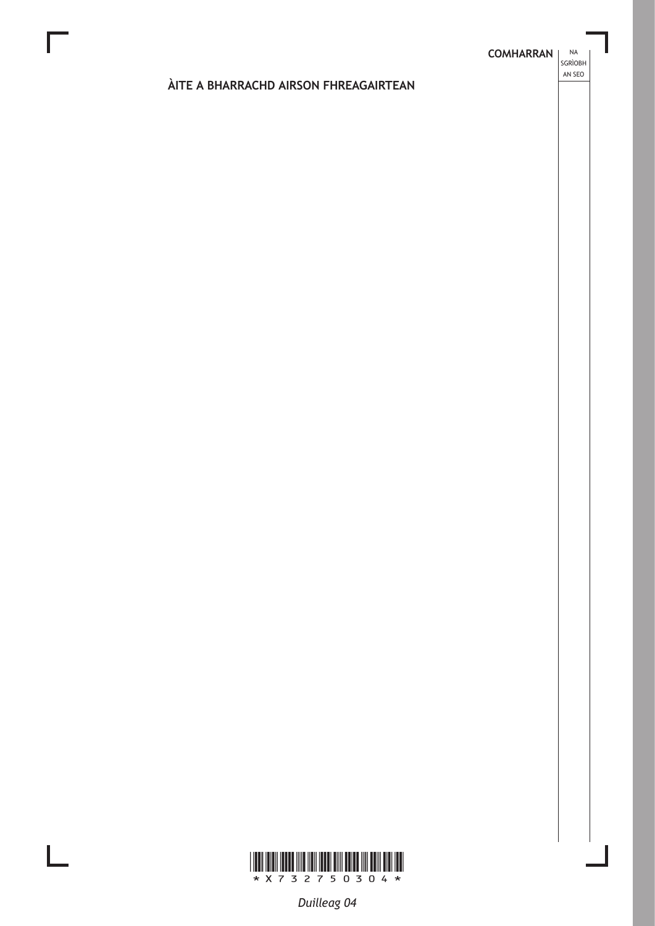**NA** 

# ÀITE A BHARRACHD AIRSON FHREAGAIRTEAN



L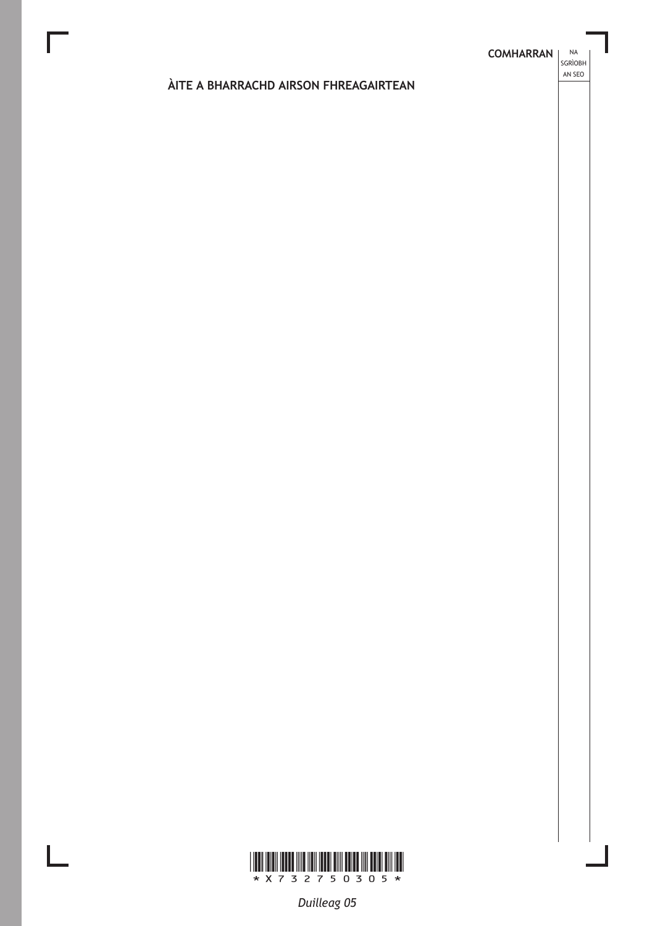**NA** 

# ÀITE A BHARRACHD AIRSON FHREAGAIRTEAN



 $\mathbf{L}$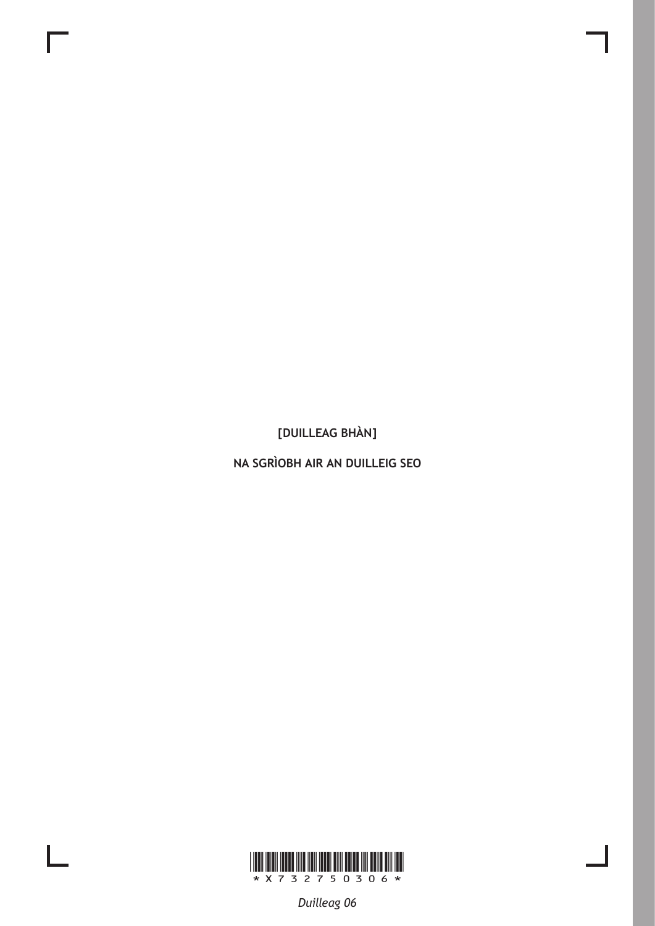NA SGRÌOBH AIR AN DUILLEIG SEO



 $\mathbf{L}$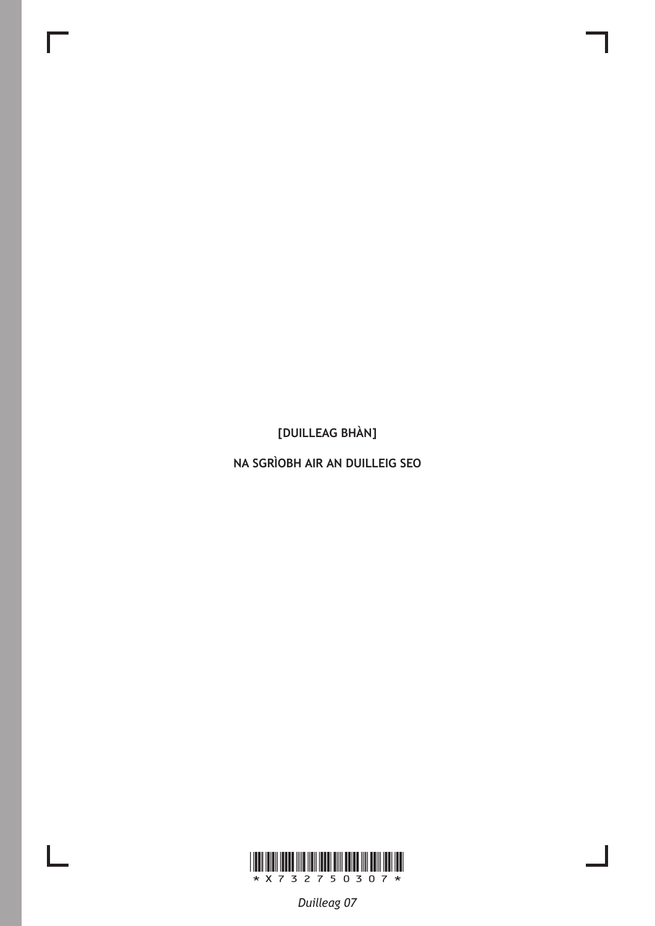NA SGRÌOBH AIR AN DUILLEIG SEO



 $\mathbf{L}$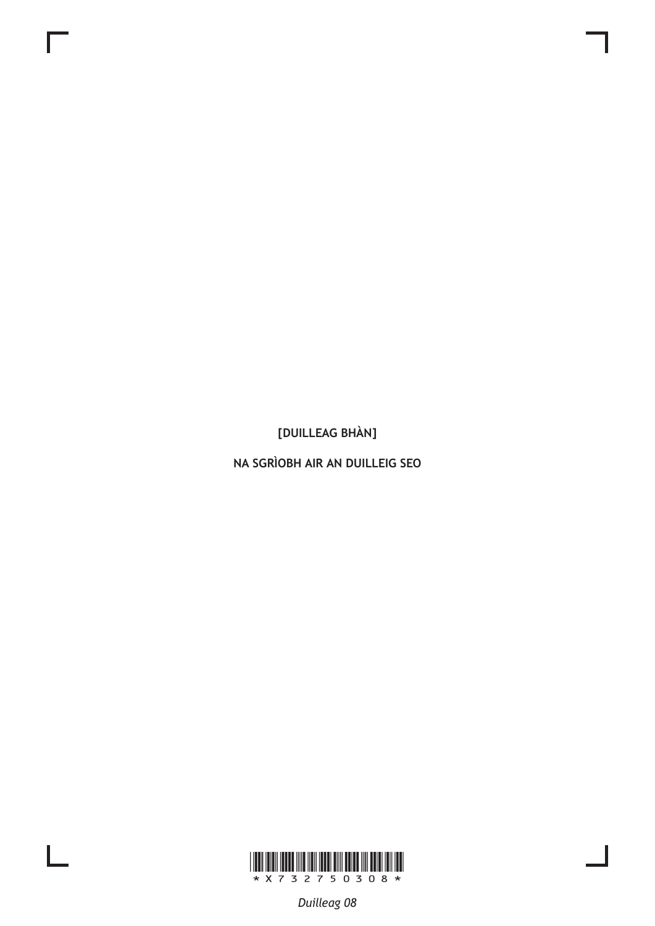NA SGRÌOBH AIR AN DUILLEIG SEO



 $\mathbf{L}$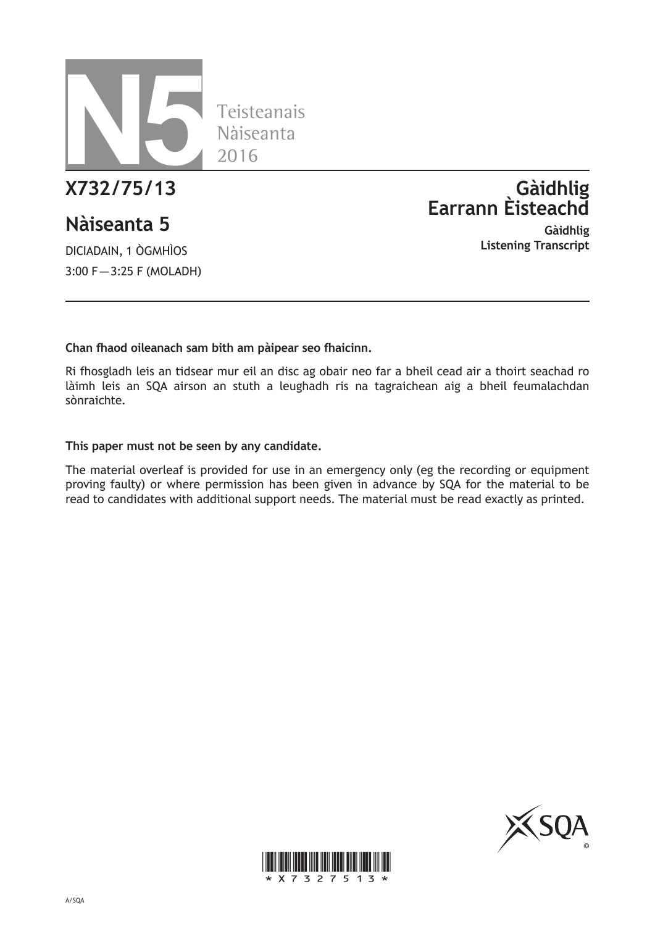

# **Nàiseanta 5**

DICIADAIN, 1 ÒGMHÌOS 3:00 F – 3:25 F (MOLADH)

# **X732/75/13 Gàidhlig Earrann Èisteachd**

**Gàidhlig Listening Transcript**

# **Chan fhaod oileanach sam bith am pàipear seo fhaicinn.**

Ri fhosgladh leis an tidsear mur eil an disc ag obair neo far a bheil cead air a thoirt seachad ro làimh leis an SQA airson an stuth a leughadh ris na tagraichean aig a bheil feumalachdan sònraichte.

## **This paper must not be seen by any candidate.**

The material overleaf is provided for use in an emergency only (eg the recording or equipment proving faulty) or where permission has been given in advance by SQA for the material to be read to candidates with additional support needs. The material must be read exactly as printed.



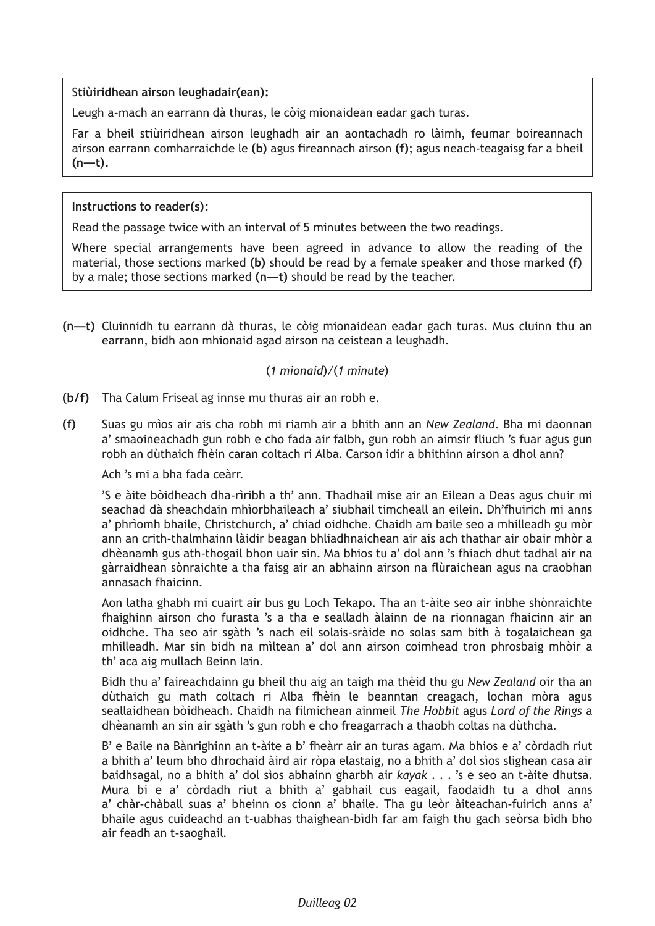## S**tiùiridhean airson leughadair(ean):**

Leugh a-mach an earrann dà thuras, le còig mionaidean eadar gach turas.

Far a bheil stiùiridhean airson leughadh air an aontachadh ro làimh, feumar boireannach airson earrann comharraichde le **(b)** agus fireannach airson **(f)**; agus neach-teagaisg far a bheil **(n—t).**

## **Instructions to reader(s):**

Read the passage twice with an interval of 5 minutes between the two readings.

Where special arrangements have been agreed in advance to allow the reading of the material, those sections marked **(b)** should be read by a female speaker and those marked **(f)** by a male; those sections marked **(n—t)** should be read by the teacher.

**(n—t)** Cluinnidh tu earrann dà thuras, le còig mionaidean eadar gach turas. Mus cluinn thu an earrann, bidh aon mhionaid agad airson na ceistean a leughadh.

# (*1 mionaid*)*/*(*1 minute*)

**(b/f)** Tha Calum Friseal ag innse mu thuras air an robh e.

**(f)** Suas gu mìos air ais cha robh mi riamh air a bhith ann an *New Zealand*. Bha mi daonnan a' smaoineachadh gun robh e cho fada air falbh, gun robh an aimsir fliuch 's fuar agus gun robh an dùthaich fhèin caran coltach ri Alba. Carson idir a bhithinn airson a dhol ann?

Ach 's mi a bha fada ceàrr.

 'S e àite bòidheach dha-rìribh a th' ann. Thadhail mise air an Eilean a Deas agus chuir mi seachad dà sheachdain mhìorbhaileach a' siubhail timcheall an eilein. Dh'fhuirich mi anns a' phrìomh bhaile, Christchurch, a' chiad oidhche. Chaidh am baile seo a mhilleadh gu mòr ann an crith-thalmhainn làidir beagan bhliadhnaichean air ais ach thathar air obair mhòr a dhèanamh gus ath-thogail bhon uair sin. Ma bhios tu a' dol ann 's fhiach dhut tadhal air na gàrraidhean sònraichte a tha faisg air an abhainn airson na flùraichean agus na craobhan annasach fhaicinn.

 Aon latha ghabh mi cuairt air bus gu Loch Tekapo. Tha an t-àite seo air inbhe shònraichte fhaighinn airson cho furasta 's a tha e sealladh àlainn de na rionnagan fhaicinn air an oidhche. Tha seo air sgàth 's nach eil solais-sràide no solas sam bith à togalaichean ga mhilleadh. Mar sin bidh na mìltean a' dol ann airson coimhead tron phrosbaig mhòir a th' aca aig mullach Beinn Iain.

 Bidh thu a' faireachdainn gu bheil thu aig an taigh ma thèid thu gu *New Zealand* oir tha an dùthaich gu math coltach ri Alba fhèin le beanntan creagach, lochan mòra agus seallaidhean bòidheach. Chaidh na filmichean ainmeil *The Hobbit* agus *Lord of the Rings* a dhèanamh an sin air sgàth 's gun robh e cho freagarrach a thaobh coltas na dùthcha.

 B' e Baile na Bànrighinn an t-àite a b' fheàrr air an turas agam. Ma bhios e a' còrdadh riut a bhith a' leum bho dhrochaid àird air ròpa elastaig, no a bhith a' dol sìos slighean casa air baidhsagal, no a bhith a' dol sìos abhainn gharbh air *kayak* . . . 's e seo an t-àite dhutsa. Mura bi e a' còrdadh riut a bhith a' gabhail cus eagail, faodaidh tu a dhol anns a' chàr-chàball suas a' bheinn os cionn a' bhaile. Tha gu leòr àiteachan-fuirich anns a' bhaile agus cuideachd an t-uabhas thaighean-bìdh far am faigh thu gach seòrsa bìdh bho air feadh an t-saoghail.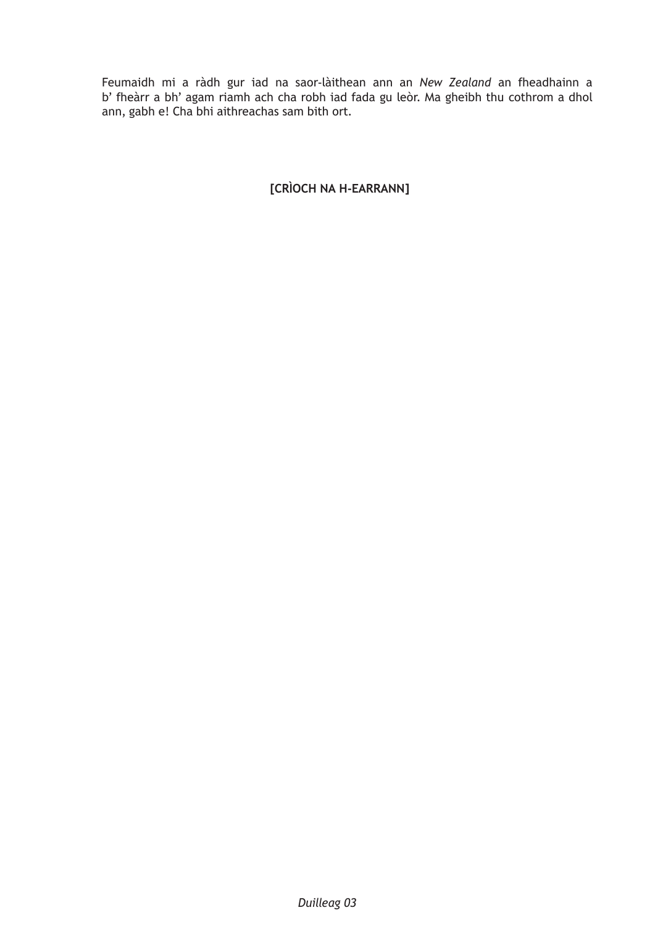Feumaidh mi a ràdh gur iad na saor-làithean ann an *New Zealand* an fheadhainn a b' fheàrr a bh' agam riamh ach cha robh iad fada gu leòr. Ma gheibh thu cothrom a dhol ann, gabh e! Cha bhi aithreachas sam bith ort.

# **[CRÌOCH NA H-EARRANN]**